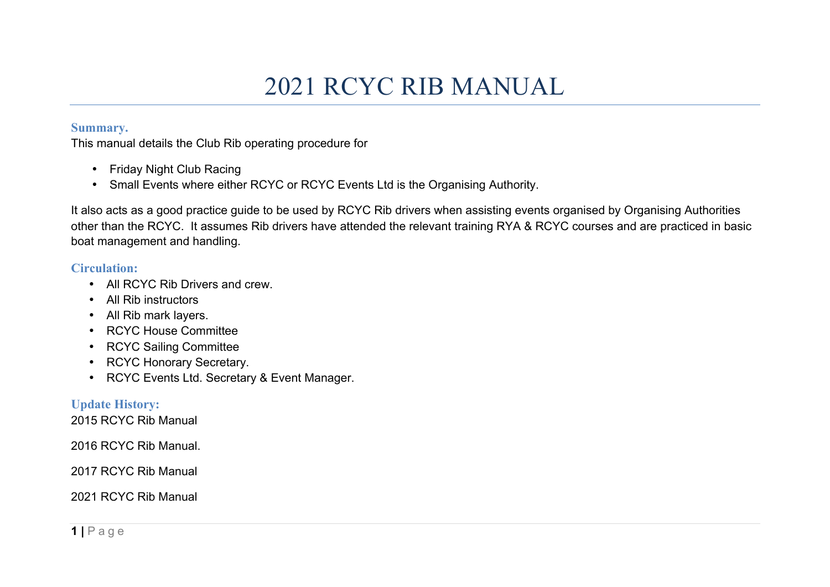# 2021 RCYC RIB MANUAL

#### **Summary.**

This manual details the Club Rib operating procedure for

- Friday Night Club Racing
- Small Events where either RCYC or RCYC Events Ltd is the Organising Authority.

It also acts as a good practice guide to be used by RCYC Rib drivers when assisting events organised by Organising Authorities other than the RCYC. It assumes Rib drivers have attended the relevant training RYA & RCYC courses and are practiced in basic boat management and handling.

#### **Circulation:**

- All RCYC Rib Drivers and crew
- All Rib instructors
- All Rib mark layers.
- RCYC House Committee
- RCYC Sailing Committee
- RCYC Honorary Secretary.
- RCYC Events Ltd. Secretary & Event Manager.

# **Update History:**

2015 RCYC Rib Manual

2016 RCYC Rib Manual.

2017 RCYC Rib Manual

2021 RCYC Rib Manual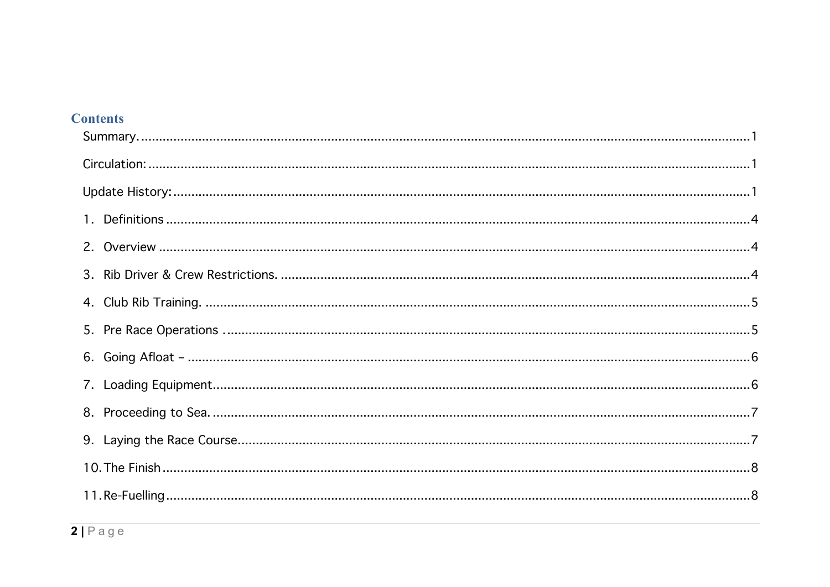| <b>Contents</b> |
|-----------------|
|-----------------|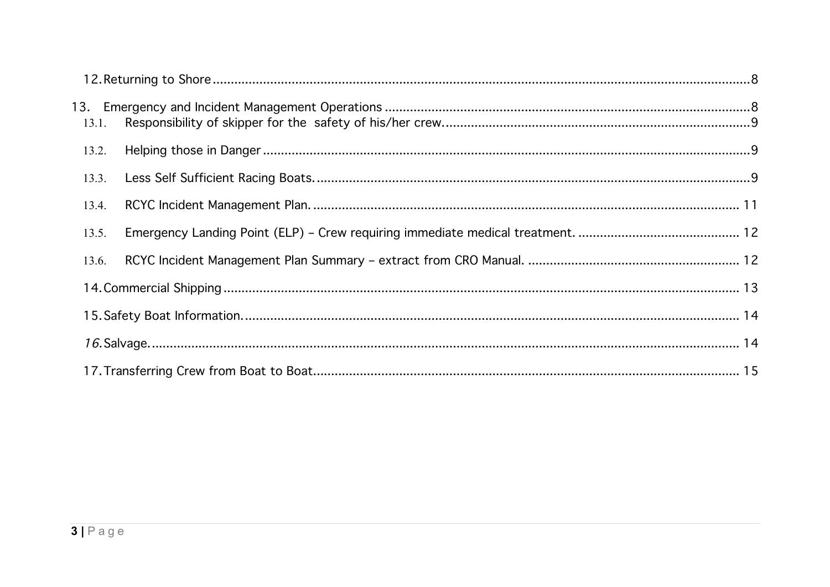| 13.2. |  |  |
|-------|--|--|
| 13.3. |  |  |
| 13.4. |  |  |
| 13.5. |  |  |
| 13.6. |  |  |
|       |  |  |
|       |  |  |
|       |  |  |
|       |  |  |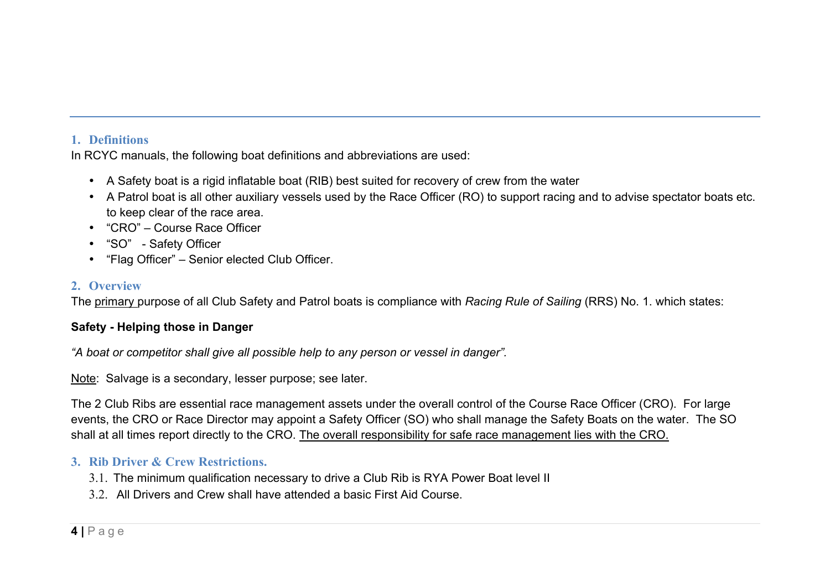#### **1. Definitions**

In RCYC manuals, the following boat definitions and abbreviations are used:

- A Safety boat is a rigid inflatable boat (RIB) best suited for recovery of crew from the water
- A Patrol boat is all other auxiliary vessels used by the Race Officer (RO) to support racing and to advise spectator boats etc. to keep clear of the race area.
- "CRO" Course Race Officer
- "SO" Safety Officer
- "Flag Officer" Senior elected Club Officer.

### **2. Overview**

The primary purpose of all Club Safety and Patrol boats is compliance with *Racing Rule of Sailing* (RRS) No. 1. which states:

# **Safety - Helping those in Danger**

*"A boat or competitor shall give all possible help to any person or vessel in danger".*

Note: Salvage is a secondary, lesser purpose; see later.

The 2 Club Ribs are essential race management assets under the overall control of the Course Race Officer (CRO). For large events, the CRO or Race Director may appoint a Safety Officer (SO) who shall manage the Safety Boats on the water. The SO shall at all times report directly to the CRO. The overall responsibility for safe race management lies with the CRO.

# **3. Rib Driver & Crew Restrictions.**

- 3.1. The minimum qualification necessary to drive a Club Rib is RYA Power Boat level II
- 3.2. All Drivers and Crew shall have attended a basic First Aid Course.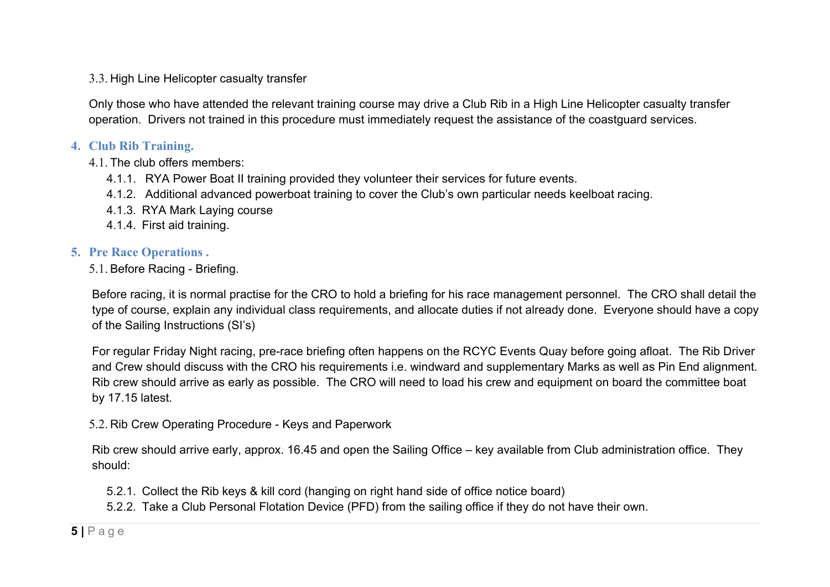#### 3.3. High Line Helicopter casualty transfer

Only those who have attended the relevant training course may drive a Club Rib in a High Line Helicopter casualty transfer operation. Drivers not trained in this procedure must immediately request the assistance of the coastguard services.

# **4. Club Rib Training.**

4.1. The club offers members:

- 4.1.1. RYA Power Boat II training provided they volunteer their services for future events.
- 4.1.2. Additional advanced powerboat training to cover the Club's own particular needs keelboat racing.
- 4.1.3. RYA Mark Laying course
- 4.1.4. First aid training.

# **5. Pre Race Operations .**

5.1. Before Racing - Briefing.

Before racing, it is normal practise for the CRO to hold a briefing for his race management personnel. The CRO shall detail the type of course, explain any individual class requirements, and allocate duties if not already done. Everyone should have a copy of the Sailing Instructions (SI's)

For regular Friday Night racing, pre-race briefing often happens on the RCYC Events Quay before going afloat. The Rib Driver and Crew should discuss with the CRO his requirements i.e. windward and supplementary Marks as well as Pin End alignment. Rib crew should arrive as early as possible. The CRO will need to load his crew and equipment on board the committee boat by 17.15 latest.

# 5.2. Rib Crew Operating Procedure - Keys and Paperwork

Rib crew should arrive early, approx. 16.45 and open the Sailing Office – key available from Club administration office. They should:

5.2.1. Collect the Rib keys & kill cord (hanging on right hand side of office notice board)

5.2.2. Take a Club Personal Flotation Device (PFD) from the sailing office if they do not have their own.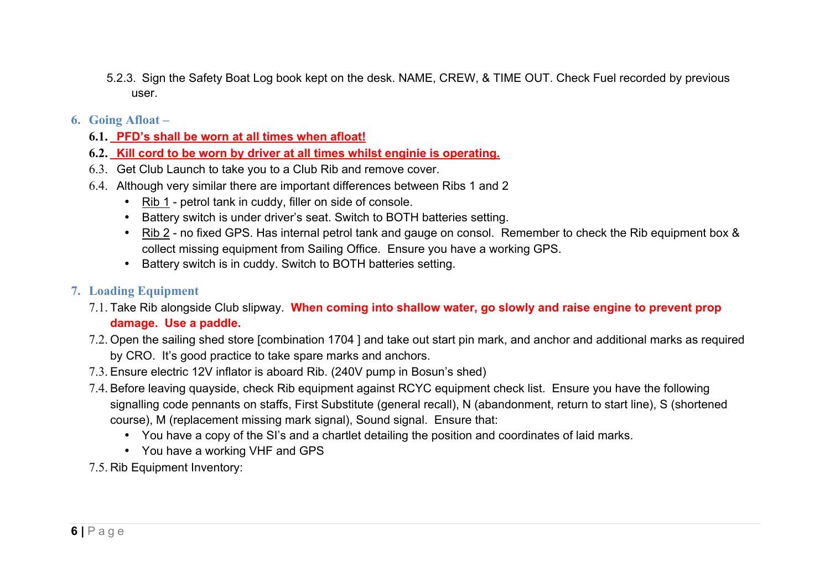- 5.2.3. Sign the Safety Boat Log book kept on the desk. NAME, CREW, & TIME OUT. Check Fuel recorded by previous user.
- **6. Going Afloat –**
	- **6.1. PFD's shall be worn at all times when afloat!**
	- **6.2. Kill cord to be worn by driver at all times whilst enginie is operating.**
	- 6.3. Get Club Launch to take you to a Club Rib and remove cover.
	- 6.4. Although very similar there are important differences between Ribs 1 and 2
		- Rib 1 petrol tank in cuddy, filler on side of console.
		- Battery switch is under driver's seat. Switch to BOTH batteries setting.
		- Rib 2 no fixed GPS. Has internal petrol tank and gauge on consol. Remember to check the Rib equipment box & collect missing equipment from Sailing Office. Ensure you have a working GPS.
		- Battery switch is in cuddy. Switch to BOTH batteries setting.
- **7. Loading Equipment**
	- 7.1. Take Rib alongside Club slipway. **When coming into shallow water, go slowly and raise engine to prevent prop damage. Use a paddle.**
	- 7.2. Open the sailing shed store [combination 1704 ] and take out start pin mark, and anchor and additional marks as required by CRO. It's good practice to take spare marks and anchors.
	- 7.3. Ensure electric 12V inflator is aboard Rib. (240V pump in Bosun's shed)
	- 7.4. Before leaving quayside, check Rib equipment against RCYC equipment check list. Ensure you have the following signalling code pennants on staffs, First Substitute (general recall), N (abandonment, return to start line), S (shortened course), M (replacement missing mark signal), Sound signal. Ensure that:
		- You have a copy of the SI's and a chartlet detailing the position and coordinates of laid marks.
		- You have a working VHF and GPS
	- 7.5. Rib Equipment Inventory: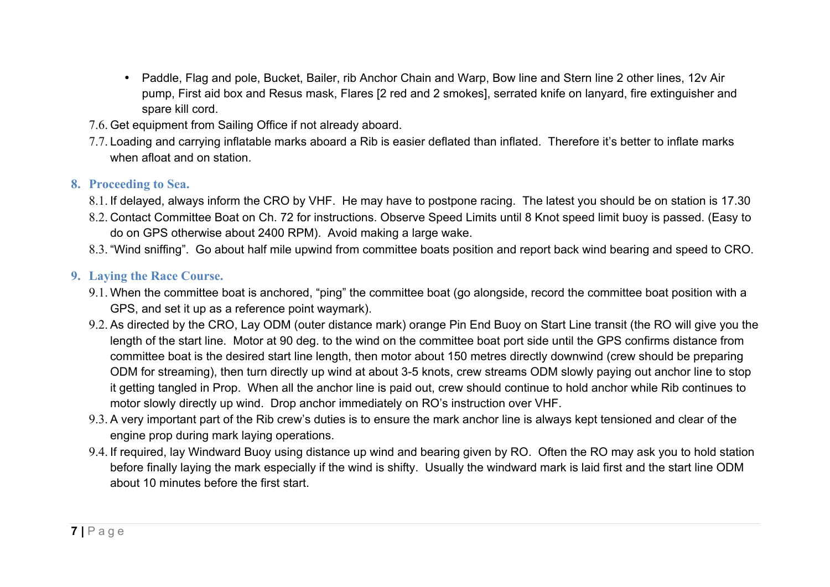- Paddle, Flag and pole, Bucket, Bailer, rib Anchor Chain and Warp, Bow line and Stern line 2 other lines, 12v Air pump, First aid box and Resus mask, Flares [2 red and 2 smokes], serrated knife on lanyard, fire extinguisher and spare kill cord.
- 7.6. Get equipment from Sailing Office if not already aboard.
- 7.7. Loading and carrying inflatable marks aboard a Rib is easier deflated than inflated. Therefore it's better to inflate marks when afloat and on station.

#### **8. Proceeding to Sea.**

- 8.1. If delayed, always inform the CRO by VHF. He may have to postpone racing. The latest you should be on station is 17.30
- 8.2. Contact Committee Boat on Ch. 72 for instructions. Observe Speed Limits until 8 Knot speed limit buoy is passed. (Easy to do on GPS otherwise about 2400 RPM). Avoid making a large wake.
- 8.3. "Wind sniffing". Go about half mile upwind from committee boats position and report back wind bearing and speed to CRO.

### **9. Laying the Race Course.**

- 9.1. When the committee boat is anchored, "ping" the committee boat (go alongside, record the committee boat position with a GPS, and set it up as a reference point waymark).
- 9.2. As directed by the CRO, Lay ODM (outer distance mark) orange Pin End Buoy on Start Line transit (the RO will give you the length of the start line. Motor at 90 deg. to the wind on the committee boat port side until the GPS confirms distance from committee boat is the desired start line length, then motor about 150 metres directly downwind (crew should be preparing ODM for streaming), then turn directly up wind at about 3-5 knots, crew streams ODM slowly paying out anchor line to stop it getting tangled in Prop. When all the anchor line is paid out, crew should continue to hold anchor while Rib continues to motor slowly directly up wind. Drop anchor immediately on RO's instruction over VHF.
- 9.3. A very important part of the Rib crew's duties is to ensure the mark anchor line is always kept tensioned and clear of the engine prop during mark laying operations.
- 9.4. If required, lay Windward Buoy using distance up wind and bearing given by RO. Often the RO may ask you to hold station before finally laying the mark especially if the wind is shifty. Usually the windward mark is laid first and the start line ODM about 10 minutes before the first start.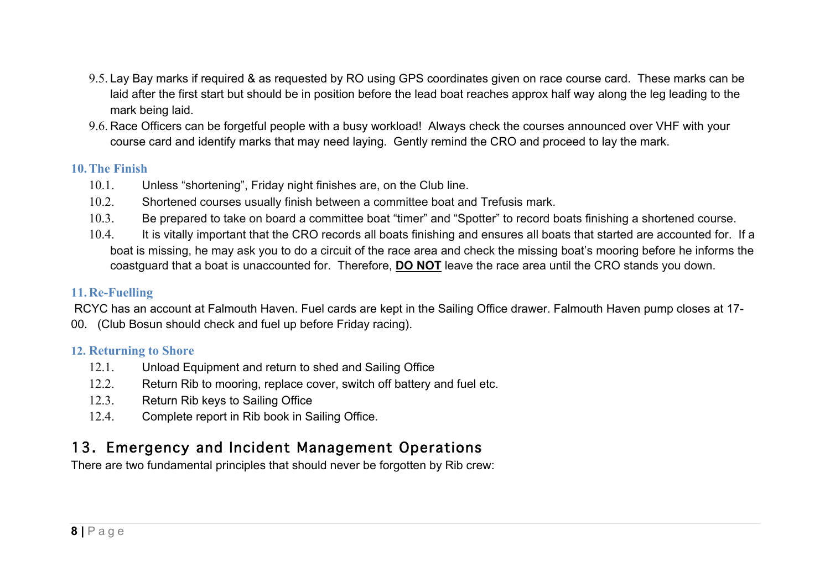- 9.5. Lay Bay marks if required & as requested by RO using GPS coordinates given on race course card. These marks can be laid after the first start but should be in position before the lead boat reaches approx half way along the leg leading to the mark being laid.
- 9.6. Race Officers can be forgetful people with a busy workload! Always check the courses announced over VHF with your course card and identify marks that may need laying. Gently remind the CRO and proceed to lay the mark.

### **10.The Finish**

- 10.1. Unless "shortening", Friday night finishes are, on the Club line.
- 10.2. Shortened courses usually finish between a committee boat and Trefusis mark.
- 10.3. Be prepared to take on board a committee boat "timer" and "Spotter" to record boats finishing a shortened course.
- 10.4. It is vitally important that the CRO records all boats finishing and ensures all boats that started are accounted for. If a boat is missing, he may ask you to do a circuit of the race area and check the missing boat's mooring before he informs the coastguard that a boat is unaccounted for. Therefore, **DO NOT** leave the race area until the CRO stands you down.

# **11.Re-Fuelling**

 RCYC has an account at Falmouth Haven. Fuel cards are kept in the Sailing Office drawer. Falmouth Haven pump closes at 17- 00. (Club Bosun should check and fuel up before Friday racing).

#### **12. Returning to Shore**

- 12.1. Unload Equipment and return to shed and Sailing Office
- 12.2. Return Rib to mooring, replace cover, switch off battery and fuel etc.
- 12.3. Return Rib keys to Sailing Office
- 12.4. Complete report in Rib book in Sailing Office.

# 13. Emergency and Incident Management Operations

There are two fundamental principles that should never be forgotten by Rib crew: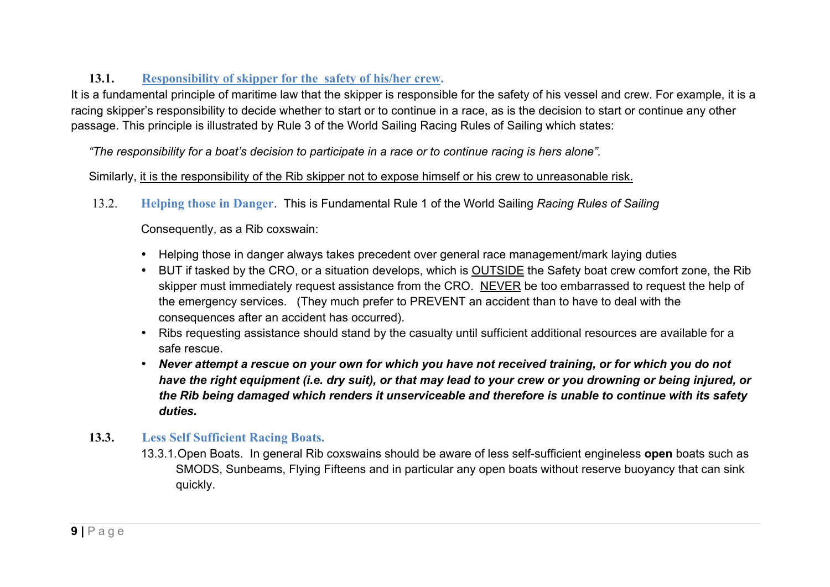# **13.1. Responsibility of skipper for the safety of his/her crew.**

It is a fundamental principle of maritime law that the skipper is responsible for the safety of his vessel and crew. For example, it is a racing skipper's responsibility to decide whether to start or to continue in a race, as is the decision to start or continue any other passage. This principle is illustrated by Rule 3 of the World Sailing Racing Rules of Sailing which states:

*"The responsibility for a boat's decision to participate in a race or to continue racing is hers alone".*

#### Similarly, it is the responsibility of the Rib skipper not to expose himself or his crew to unreasonable risk.

13.2. **Helping those in Danger**. This is Fundamental Rule 1 of the World Sailing *Racing Rules of Sailing*

Consequently, as a Rib coxswain:

- Helping those in danger always takes precedent over general race management/mark laying duties
- BUT if tasked by the CRO, or a situation develops, which is OUTSIDE the Safety boat crew comfort zone, the Rib skipper must immediately request assistance from the CRO. NEVER be too embarrassed to request the help of the emergency services. (They much prefer to PREVENT an accident than to have to deal with the consequences after an accident has occurred).
- Ribs requesting assistance should stand by the casualty until sufficient additional resources are available for a safe rescue.
- *Never attempt a rescue on your own for which you have not received training, or for which you do not have the right equipment (i.e. dry suit), or that may lead to your crew or you drowning or being injured, or the Rib being damaged which renders it unserviceable and therefore is unable to continue with its safety duties.*
- **13.3. Less Self Sufficient Racing Boats.**
	- 13.3.1.Open Boats. In general Rib coxswains should be aware of less self-sufficient engineless **open** boats such as SMODS, Sunbeams, Flying Fifteens and in particular any open boats without reserve buoyancy that can sink quickly.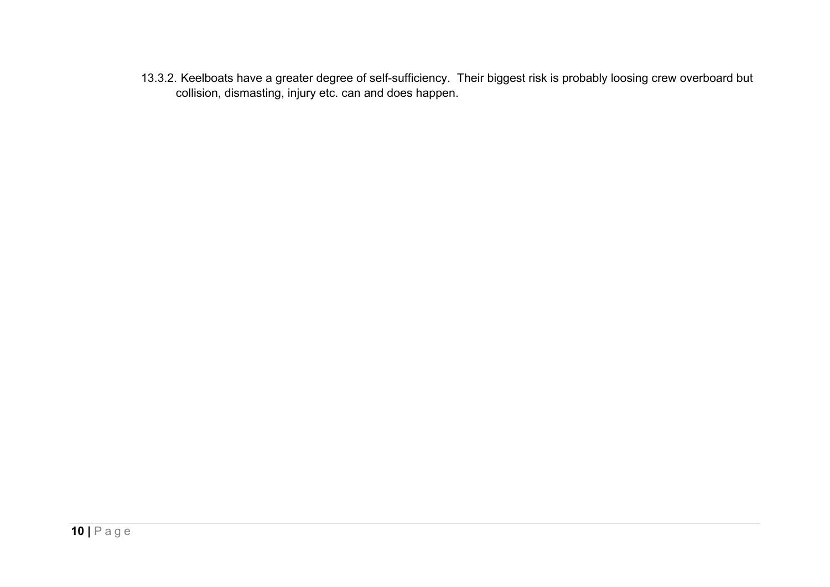13.3.2. Keelboats have a greater degree of self-sufficiency. Their biggest risk is probably loosing crew overboard but collision, dismasting, injury etc. can and does happen.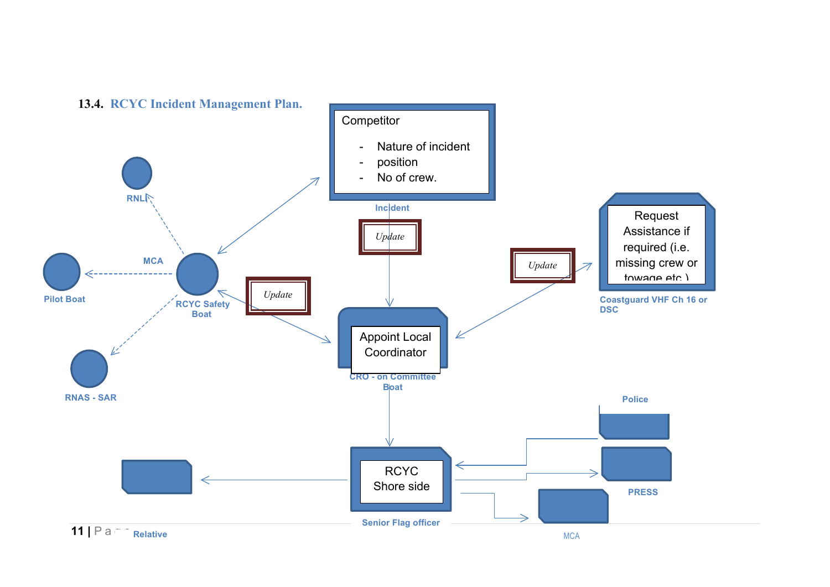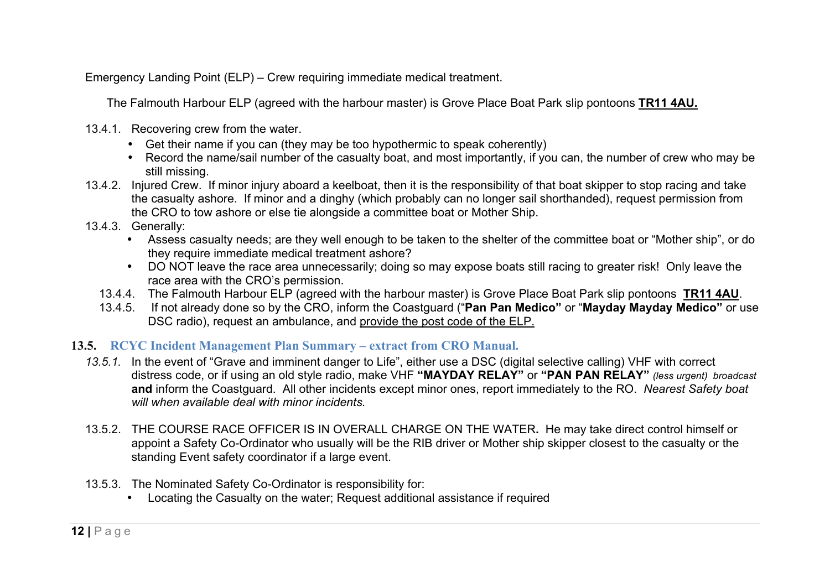Emergency Landing Point (ELP) – Crew requiring immediate medical treatment.

The Falmouth Harbour ELP (agreed with the harbour master) is Grove Place Boat Park slip pontoons **TR11 4AU.**

- 13.4.1. Recovering crew from the water.
	- Get their name if you can (they may be too hypothermic to speak coherently)
	- Record the name/sail number of the casualty boat, and most importantly, if you can, the number of crew who may be still missing.
- 13.4.2. Injured Crew. If minor injury aboard a keelboat, then it is the responsibility of that boat skipper to stop racing and take the casualty ashore. If minor and a dinghy (which probably can no longer sail shorthanded), request permission from the CRO to tow ashore or else tie alongside a committee boat or Mother Ship.
- 13.4.3. Generally:
	- Assess casualty needs; are they well enough to be taken to the shelter of the committee boat or "Mother ship", or do they require immediate medical treatment ashore?
	- DO NOT leave the race area unnecessarily; doing so may expose boats still racing to greater risk! Only leave the race area with the CRO's permission.
	- 13.4.4. The Falmouth Harbour ELP (agreed with the harbour master) is Grove Place Boat Park slip pontoons **TR11 4AU**.
	- 13.4.5. If not already done so by the CRO, inform the Coastguard ("**Pan Pan Medico"** or "**Mayday Mayday Medico"** or use DSC radio), request an ambulance, and provide the post code of the ELP.

#### **13.5. RCYC Incident Management Plan Summary – extract from CRO Manual.**

- *13.5.1.* In the event of "Grave and imminent danger to Life", either use a DSC (digital selective calling) VHF with correct distress code, or if using an old style radio, make VHF **"MAYDAY RELAY"** or **"PAN PAN RELAY"** *(less urgent) broadcast*  **and** inform the Coastguard. All other incidents except minor ones, report immediately to the RO. *Nearest Safety boat will when available deal with minor incidents.*
- 13.5.2. THE COURSE RACE OFFICER IS IN OVERALL CHARGE ON THE WATER**.** He may take direct control himself or appoint a Safety Co-Ordinator who usually will be the RIB driver or Mother ship skipper closest to the casualty or the standing Event safety coordinator if a large event.
- 13.5.3. The Nominated Safety Co-Ordinator is responsibility for:
	- Locating the Casualty on the water; Request additional assistance if required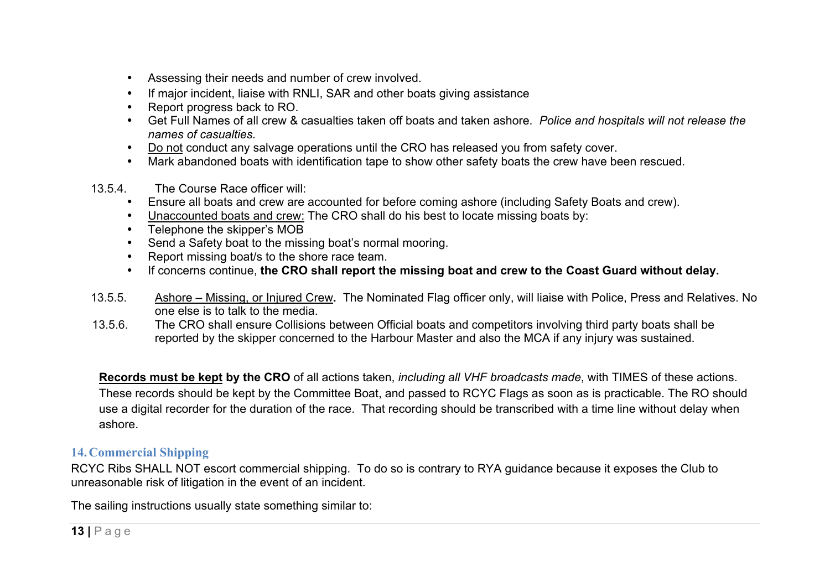- Assessing their needs and number of crew involved.
- If major incident, liaise with RNLI, SAR and other boats giving assistance
- Report progress back to RO.
- Get Full Names of all crew & casualties taken off boats and taken ashore.*Police and hospitals will not release the names of casualties.*
- Do not conduct any salvage operations until the CRO has released you from safety cover.
- Mark abandoned boats with identification tape to show other safety boats the crew have been rescued.
- 13.5.4. The Course Race officer will:
	- Ensure all boats and crew are accounted for before coming ashore (including Safety Boats and crew).
	- Unaccounted boats and crew: The CRO shall do his best to locate missing boats by:
	- Telephone the skipper's MOB
	- Send a Safety boat to the missing boat's normal mooring.
	- Report missing boat/s to the shore race team.
	- If concerns continue, **the CRO shall report the missing boat and crew to the Coast Guard without delay.**
- 13.5.5. Ashore Missing, or Injured Crew**.** The Nominated Flag officer only, will liaise with Police, Press and Relatives. No one else is to talk to the media.
- 13.5.6. The CRO shall ensure Collisions between Official boats and competitors involving third party boats shall be reported by the skipper concerned to the Harbour Master and also the MCA if any injury was sustained.

**Records must be kept by the CRO** of all actions taken, *including all VHF broadcasts made*, with TIMES of these actions. These records should be kept by the Committee Boat, and passed to RCYC Flags as soon as is practicable. The RO should use a digital recorder for the duration of the race. That recording should be transcribed with a time line without delay when ashore.

# **14.Commercial Shipping**

RCYC Ribs SHALL NOT escort commercial shipping. To do so is contrary to RYA guidance because it exposes the Club to unreasonable risk of litigation in the event of an incident.

The sailing instructions usually state something similar to: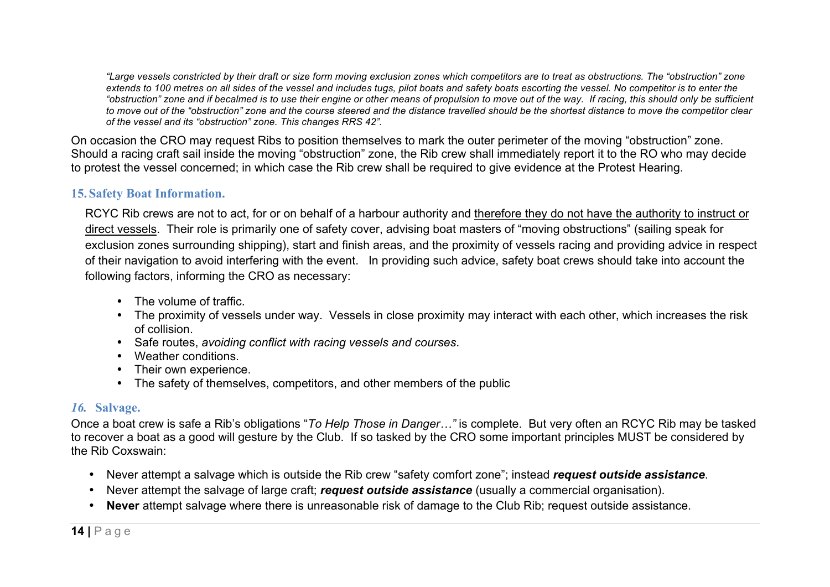*"Large vessels constricted by their draft or size form moving exclusion zones which competitors are to treat as obstructions. The "obstruction" zone extends to 100 metres on all sides of the vessel and includes tugs, pilot boats and safety boats escorting the vessel. No competitor is to enter the "obstruction" zone and if becalmed is to use their engine or other means of propulsion to move out of the way. If racing, this should only be sufficient to move out of the "obstruction" zone and the course steered and the distance travelled should be the shortest distance to move the competitor clear of the vessel and its "obstruction" zone. This changes RRS 42".*

On occasion the CRO may request Ribs to position themselves to mark the outer perimeter of the moving "obstruction" zone. Should a racing craft sail inside the moving "obstruction" zone, the Rib crew shall immediately report it to the RO who may decide to protest the vessel concerned; in which case the Rib crew shall be required to give evidence at the Protest Hearing.

### **15.Safety Boat Information.**

RCYC Rib crews are not to act, for or on behalf of a harbour authority and therefore they do not have the authority to instruct or direct vessels. Their role is primarily one of safety cover, advising boat masters of "moving obstructions" (sailing speak for exclusion zones surrounding shipping), start and finish areas, and the proximity of vessels racing and providing advice in respect of their navigation to avoid interfering with the event. In providing such advice, safety boat crews should take into account the following factors, informing the CRO as necessary:

- The volume of traffic.
- The proximity of vessels under way. Vessels in close proximity may interact with each other, which increases the risk of collision.
- Safe routes, *avoiding conflict with racing vessels and courses*.
- Weather conditions.
- Their own experience.
- The safety of themselves, competitors, and other members of the public

#### *16.* **Salvage.**

Once a boat crew is safe a Rib's obligations "*To Help Those in Danger…"* is complete. But very often an RCYC Rib may be tasked to recover a boat as a good will gesture by the Club. If so tasked by the CRO some important principles MUST be considered by the Rib Coxswain:

- Never attempt a salvage which is outside the Rib crew "safety comfort zone"; instead *request outside assistance*.
- Never attempt the salvage of large craft; *request outside assistance* (usually a commercial organisation).
- **Never** attempt salvage where there is unreasonable risk of damage to the Club Rib; request outside assistance.